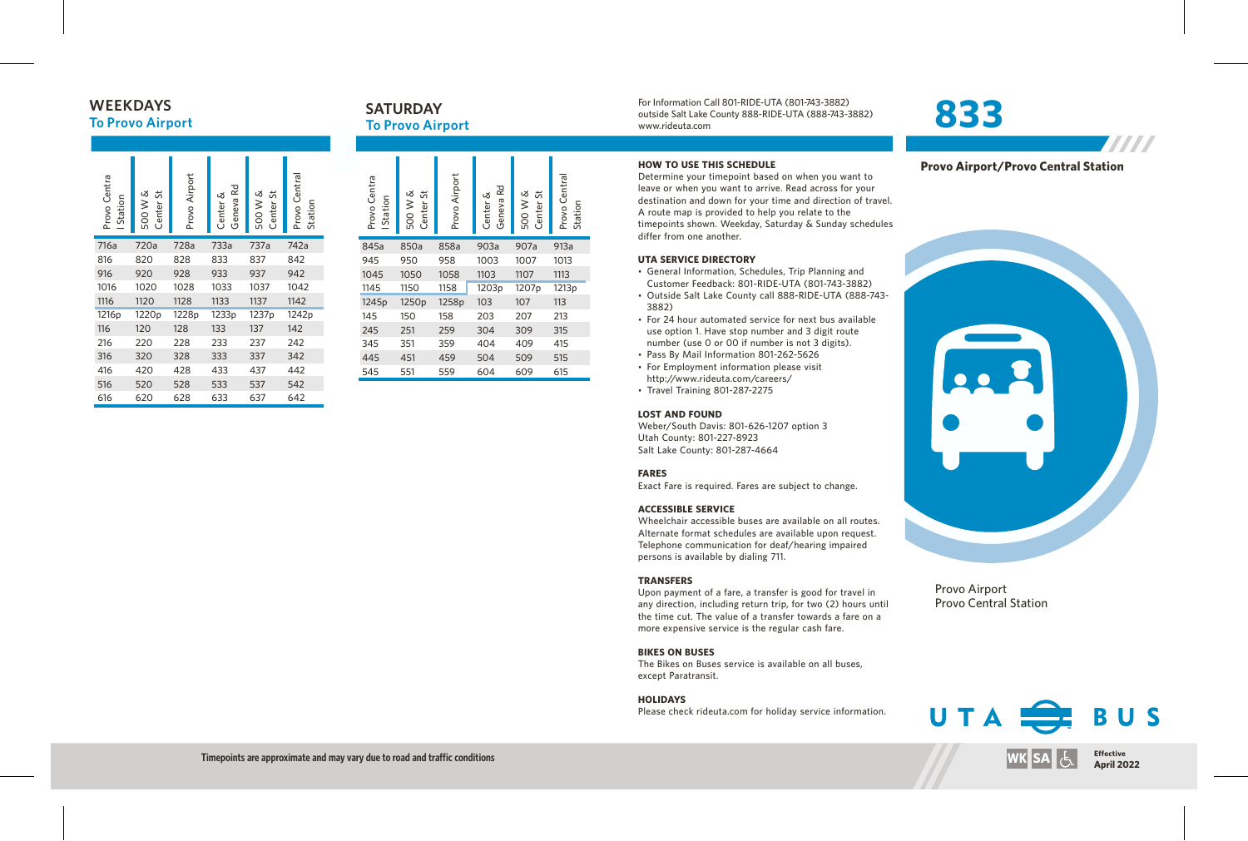### **To Provo Airport To Provo Airport WEEKDAYS** SATURDAYS

| Provo Centra<br>Station | 500 W &<br>Center St | Provo Airport | Geneva Rd<br>Center & | Center St<br>య<br>500W | Provo Central<br>Station |
|-------------------------|----------------------|---------------|-----------------------|------------------------|--------------------------|
| 716a                    | 720a                 | 728a          | 733a                  | 737a                   | 742a                     |
| 816                     | 820                  | 828           | 833                   | 837                    | 842                      |
| 916                     | 920                  | 928           | 933                   | 937                    | 942                      |
| 1016                    | 1020                 | 1028          | 1033                  | 1037                   | 1042                     |
| 1116                    | 1120                 | 1128          | 1133                  | 1137                   | 1142                     |
| 1216 <sub>p</sub>       | 1220p                | 1228p         | 1233p                 | 1237 <sub>p</sub>      | 1242p                    |
| 116                     | 120                  | 128           | 133                   | 137                    | 142                      |
| 216                     | 220                  | 228           | 233                   | 237                    | 242                      |
| 316                     | 320                  | 328           | 333                   | 337                    | 342                      |
| 416                     | 420                  | 428           | 433                   | 437                    | 442                      |
| 516                     | 520                  | 528           | 533                   | 537                    | 542                      |
| 616                     | 620                  | 628           | 633                   | 637                    | 642                      |

| <b>ATURDAY</b> |  |
|----------------|--|
| o Provo Airpor |  |

| Provo Centra<br>Station | 500 W &<br>Center St | Provo Airport | Geneva Rd<br>Center & | 500 W &<br>Center St | Provo Centra<br>Station |
|-------------------------|----------------------|---------------|-----------------------|----------------------|-------------------------|
| 845a                    | 850a                 | 858a          | 903a                  | 907a                 | 913a                    |
| 945                     | 950                  | 958           | 1003                  | 1007                 | 1013                    |
| 1045                    | 1050                 | 1058          | 1103                  | 1107                 | 1113                    |
| 1145                    | 1150                 | 1158          | 1203p                 | 1207 <sub>p</sub>    | 1213p                   |
| 1245p                   | 1250 <sub>p</sub>    | 1258p         | 103                   | 107                  | 113                     |
| 145                     | 150                  | 158           | 203                   | 207                  | 213                     |
| 245                     | 251                  | 259           | 304                   | 309                  | 315                     |
| 345                     | 351                  | 359           | 404                   | 409                  | 415                     |
| 445                     | 451                  | 459           | 504                   | 509                  | 515                     |
| 545                     | 551                  | 559           | 604                   | 609                  | 615                     |

For Information Call 801-RIDE-UTA (801-743-3882) outside Salt Lake County 888-RIDE-UTA (888-743-3882) www.rideuta.com

Determine your timepoint based on when you want to leave or when you want to arrive. Read across for your destination and down for your time and direction of travel. A route map is provided to help you relate to the timepoints shown. Weekday, Saturday & Sunday schedules

• General Information, Schedules, Trip Planning and Customer Feedback: 801-RIDE-UTA (801-743-3882) • Outside Salt Lake County call 888-RIDE-UTA (888-743-

• For 24 hour automated service for next bus available use option 1. Have stop number and 3 digit route number (use 0 or 00 if number is not 3 digits). • Pass By Mail Information 801-262-5626 • For Employment information please visit http://www.rideuta.com/careers/  $\cdot$  Travel Training 801-287-2275

Weber/South Davis: 801-626-1207 option 3

Exact Fare is required. Fares are subject to change.

Wheelchair accessible buses are available on all routes. Alternate format schedules are available upon request. Telephone communication for deaf/hearing impaired

Upon payment of a fare, a transfer is good for travel in any direction, including return trip, for two (2) hours until the time cut. The value of a transfer towards a fare on a

**HOW TO USE THIS SCHEDULE**

differ from one another. **UTA SERVICE DIRECTORY**

3882)

**LOST AND FOUND**

**ACCESSIBLE SERVICE** 

persons is available by dialing 711.

**FARES**

**TRANSFERS**

Utah County: 801-227-8923 Salt Lake County: 801-287-4664

# **833**



7777

# 228

Provo Airport Provo Central Station



**BIKES ON BUSES** The Bikes on Buses service is available on all buses, except Paratransit.

**HOLIDAYS**

Please check rideuta.com for holiday service information.